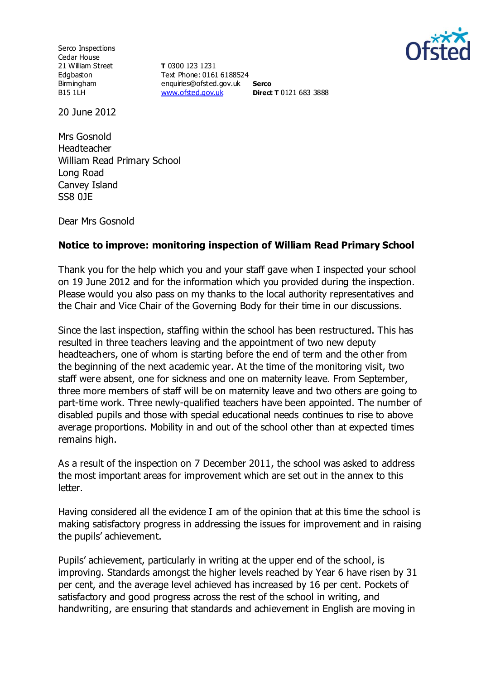

Serco Inspections Cedar House 21 William Street Edgbaston Birmingham B15 1LH

**T** 0300 123 1231 Text Phone: 0161 6188524 enquiries@ofsted.gov.uk **Serco** [www.ofsted.gov.uk](http://www.ofsted.gov.uk/)

**Direct T** 0121 683 3888

20 June 2012

Mrs Gosnold Headteacher William Read Primary School Long Road Canvey Island SS8 0JE

Dear Mrs Gosnold

## **Notice to improve: monitoring inspection of William Read Primary School**

Thank you for the help which you and your staff gave when I inspected your school on 19 June 2012 and for the information which you provided during the inspection. Please would you also pass on my thanks to the local authority representatives and the Chair and Vice Chair of the Governing Body for their time in our discussions.

Since the last inspection, staffing within the school has been restructured. This has resulted in three teachers leaving and the appointment of two new deputy headteachers, one of whom is starting before the end of term and the other from the beginning of the next academic year. At the time of the monitoring visit, two staff were absent, one for sickness and one on maternity leave. From September, three more members of staff will be on maternity leave and two others are going to part-time work. Three newly-qualified teachers have been appointed. The number of disabled pupils and those with special educational needs continues to rise to above average proportions. Mobility in and out of the school other than at expected times remains high.

As a result of the inspection on 7 December 2011, the school was asked to address the most important areas for improvement which are set out in the annex to this letter.

Having considered all the evidence I am of the opinion that at this time the school is making satisfactory progress in addressing the issues for improvement and in raising the pupils' achievement.

Pupils' achievement, particularly in writing at the upper end of the school, is improving. Standards amongst the higher levels reached by Year 6 have risen by 31 per cent, and the average level achieved has increased by 16 per cent. Pockets of satisfactory and good progress across the rest of the school in writing, and handwriting, are ensuring that standards and achievement in English are moving in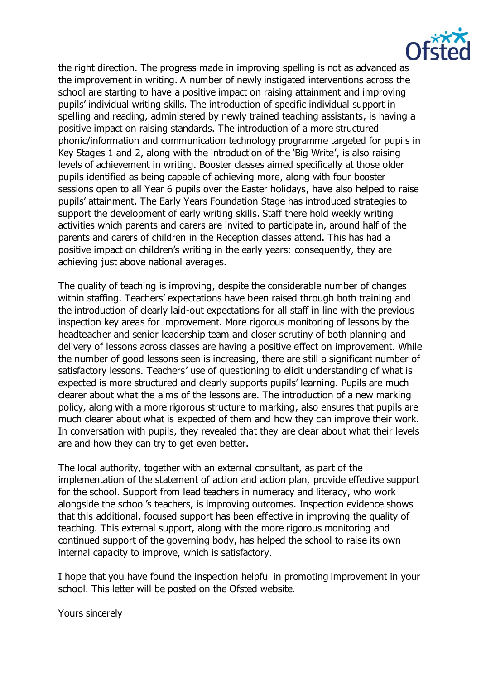

the right direction. The progress made in improving spelling is not as advanced as the improvement in writing. A number of newly instigated interventions across the school are starting to have a positive impact on raising attainment and improving pupils' individual writing skills. The introduction of specific individual support in spelling and reading, administered by newly trained teaching assistants, is having a positive impact on raising standards. The introduction of a more structured phonic/information and communication technology programme targeted for pupils in Key Stages 1 and 2, along with the introduction of the 'Big Write', is also raising levels of achievement in writing. Booster classes aimed specifically at those older pupils identified as being capable of achieving more, along with four booster sessions open to all Year 6 pupils over the Easter holidays, have also helped to raise pupils' attainment. The Early Years Foundation Stage has introduced strategies to support the development of early writing skills. Staff there hold weekly writing activities which parents and carers are invited to participate in, around half of the parents and carers of children in the Reception classes attend. This has had a positive impact on children's writing in the early years: consequently, they are achieving just above national averages.

The quality of teaching is improving, despite the considerable number of changes within staffing. Teachers' expectations have been raised through both training and the introduction of clearly laid-out expectations for all staff in line with the previous inspection key areas for improvement. More rigorous monitoring of lessons by the headteacher and senior leadership team and closer scrutiny of both planning and delivery of lessons across classes are having a positive effect on improvement. While the number of good lessons seen is increasing, there are still a significant number of satisfactory lessons. Teachers' use of questioning to elicit understanding of what is expected is more structured and clearly supports pupils' learning. Pupils are much clearer about what the aims of the lessons are. The introduction of a new marking policy, along with a more rigorous structure to marking, also ensures that pupils are much clearer about what is expected of them and how they can improve their work. In conversation with pupils, they revealed that they are clear about what their levels are and how they can try to get even better.

The local authority, together with an external consultant, as part of the implementation of the statement of action and action plan, provide effective support for the school. Support from lead teachers in numeracy and literacy, who work alongside the school's teachers, is improving outcomes. Inspection evidence shows that this additional, focused support has been effective in improving the quality of teaching. This external support, along with the more rigorous monitoring and continued support of the governing body, has helped the school to raise its own internal capacity to improve, which is satisfactory.

I hope that you have found the inspection helpful in promoting improvement in your school. This letter will be posted on the Ofsted website.

Yours sincerely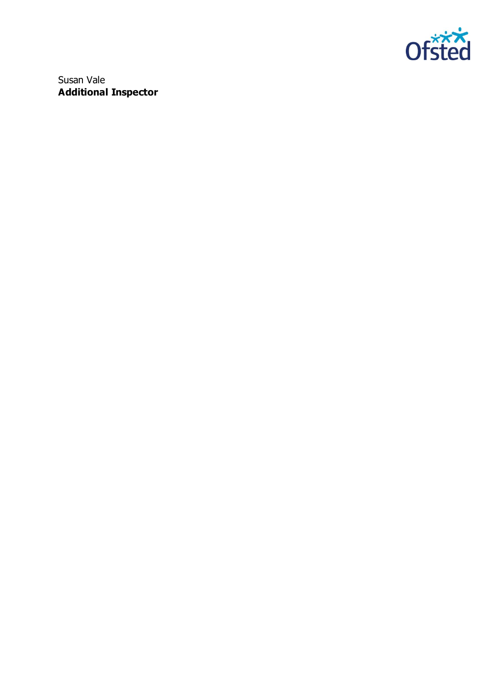

Susan Vale **Additional Inspector**